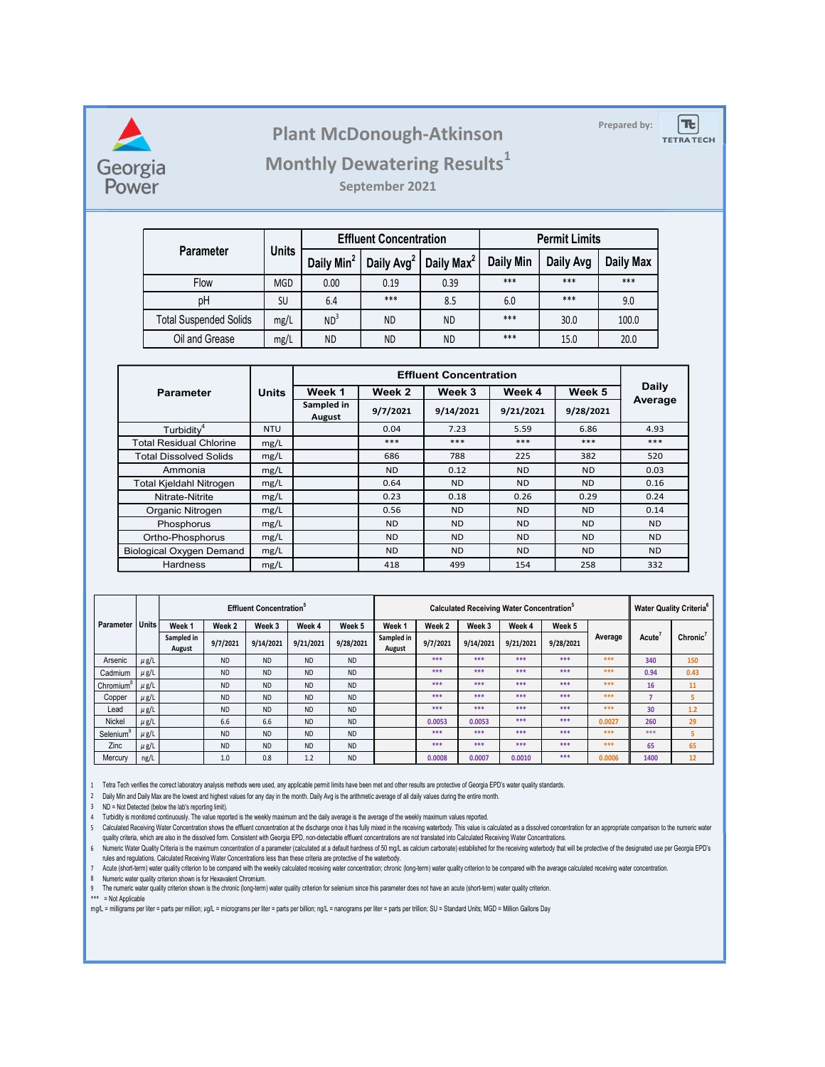

## Plant McDonough-Atkinson

## Monthly Dewatering Results<sup>1</sup>

|                                  |              |                        | <b>Plant McDonough-Atkinson</b>    |                                               |                  |                  |  | Prepared by:            | $T_{\rm c}$       |
|----------------------------------|--------------|------------------------|------------------------------------|-----------------------------------------------|------------------|------------------|--|-------------------------|-------------------|
|                                  |              |                        |                                    |                                               |                  |                  |  |                         | <b>TETRA TECH</b> |
| gia<br>er                        |              |                        | <b>Monthly Dewatering Results1</b> |                                               |                  |                  |  |                         |                   |
|                                  |              |                        | September 2021                     |                                               |                  |                  |  |                         |                   |
|                                  |              |                        |                                    |                                               |                  |                  |  |                         |                   |
|                                  |              |                        | <b>Effluent Concentration</b>      | <b>Permit Limits</b>                          |                  |                  |  |                         |                   |
| Parameter                        | <b>Units</b> | Daily Min <sup>2</sup> |                                    | Daily Avg <sup>2</sup> Daily Max <sup>2</sup> | <b>Daily Min</b> | Daily Avg        |  | Daily Max               |                   |
| Flow                             | MGD          | 0.00                   | 0.19                               | 0.39                                          | $***$            | $***$            |  | $***$                   |                   |
| pH                               | SU           | 6.4                    | ***                                | 8.5                                           | 6.0              | $***$            |  | 9.0                     |                   |
| <b>Total Suspended Solids</b>    | mg/L         | ND <sup>3</sup>        | <b>ND</b>                          | <b>ND</b>                                     | ***              | 30.0             |  | 100.0                   |                   |
| Oil and Grease                   | mg/L         | <b>ND</b>              | <b>ND</b>                          | <b>ND</b>                                     | $***$            | 15.0             |  | 20.0                    |                   |
|                                  |              |                        |                                    |                                               |                  |                  |  |                         |                   |
|                                  |              |                        |                                    | <b>Effluent Concentration</b>                 |                  |                  |  |                         |                   |
|                                  |              | Week 1                 | Week 2                             | Week 3                                        | Week 4           | Week 5           |  | <b>Daily</b><br>Average |                   |
| <b>Parameter</b>                 | <b>Units</b> |                        |                                    |                                               | 9/21/2021        | 9/28/2021        |  |                         |                   |
|                                  |              | Sampled in             | 9/7/2021                           | 9/14/2021                                     |                  |                  |  |                         |                   |
| Turbidity <sup>4</sup>           | <b>NTU</b>   | August                 | 0.04                               | 7.23                                          | 5.59             | 6.86             |  | 4.93                    |                   |
| <b>otal Residual Chlorine</b>    | mg/L         |                        | $***$                              | $***$                                         | $***$            | $***$            |  | $***$                   |                   |
| otal Dissolved Solids<br>Ammonia | mg/L<br>mg/L |                        | 686<br><b>ND</b>                   | 788<br>0.12                                   | 225<br><b>ND</b> | 382<br><b>ND</b> |  | 520<br>0.03             |                   |

| Georgia<br>Power  |                        |                                                          |                               |                                                      |                        |                        | <b>Plant McDonough-Atkinson</b><br><b>Monthly Dewatering Results</b> <sup>1</sup><br>September 2021                                                                                                                                                                                                                                                                                                                                                                                                                                                                                                                                                                                                                                                                                                                                                                                                                                                                                                                                                                                                                                                                                                     |                               |                   |                                                                        |                      |                   | Prepared by:          | $T_{\rm c}$<br><b>TETRA TECH</b>    |
|-------------------|------------------------|----------------------------------------------------------|-------------------------------|------------------------------------------------------|------------------------|------------------------|---------------------------------------------------------------------------------------------------------------------------------------------------------------------------------------------------------------------------------------------------------------------------------------------------------------------------------------------------------------------------------------------------------------------------------------------------------------------------------------------------------------------------------------------------------------------------------------------------------------------------------------------------------------------------------------------------------------------------------------------------------------------------------------------------------------------------------------------------------------------------------------------------------------------------------------------------------------------------------------------------------------------------------------------------------------------------------------------------------------------------------------------------------------------------------------------------------|-------------------------------|-------------------|------------------------------------------------------------------------|----------------------|-------------------|-----------------------|-------------------------------------|
|                   |                        |                                                          |                               |                                                      |                        |                        |                                                                                                                                                                                                                                                                                                                                                                                                                                                                                                                                                                                                                                                                                                                                                                                                                                                                                                                                                                                                                                                                                                                                                                                                         |                               |                   |                                                                        |                      |                   |                       |                                     |
|                   |                        |                                                          |                               |                                                      |                        |                        | <b>Effluent Concentration</b>                                                                                                                                                                                                                                                                                                                                                                                                                                                                                                                                                                                                                                                                                                                                                                                                                                                                                                                                                                                                                                                                                                                                                                           |                               |                   |                                                                        | <b>Permit Limits</b> |                   |                       |                                     |
|                   |                        |                                                          | <b>Parameter</b>              | <b>Units</b>                                         |                        | Daily Min <sup>2</sup> | Daily Avg <sup>2</sup>                                                                                                                                                                                                                                                                                                                                                                                                                                                                                                                                                                                                                                                                                                                                                                                                                                                                                                                                                                                                                                                                                                                                                                                  | Daily Max <sup>2</sup>        |                   | <b>Daily Min</b>                                                       | Daily Avg            |                   | Daily Max             |                                     |
|                   |                        | Flow                                                     |                               | <b>MGD</b>                                           |                        | 0.00                   | 0.19                                                                                                                                                                                                                                                                                                                                                                                                                                                                                                                                                                                                                                                                                                                                                                                                                                                                                                                                                                                                                                                                                                                                                                                                    | 0.39                          |                   | $***$                                                                  | $***$                |                   | ***                   |                                     |
|                   |                        |                                                          | pH                            | SU                                                   |                        | 6.4                    | $***$                                                                                                                                                                                                                                                                                                                                                                                                                                                                                                                                                                                                                                                                                                                                                                                                                                                                                                                                                                                                                                                                                                                                                                                                   | 8.5                           |                   | 6.0                                                                    | ***                  |                   | 9.0                   |                                     |
|                   |                        |                                                          | <b>Total Suspended Solids</b> | mg/L                                                 |                        | ND <sup>3</sup>        | <b>ND</b>                                                                                                                                                                                                                                                                                                                                                                                                                                                                                                                                                                                                                                                                                                                                                                                                                                                                                                                                                                                                                                                                                                                                                                                               | <b>ND</b>                     |                   | ***                                                                    | 30.0                 |                   | 100.0                 |                                     |
|                   |                        |                                                          | Oil and Grease                | mg/L                                                 |                        | <b>ND</b>              | <b>ND</b>                                                                                                                                                                                                                                                                                                                                                                                                                                                                                                                                                                                                                                                                                                                                                                                                                                                                                                                                                                                                                                                                                                                                                                                               | <b>ND</b>                     |                   | ***                                                                    | 15.0                 |                   | 20.0                  |                                     |
|                   |                        |                                                          |                               |                                                      |                        |                        |                                                                                                                                                                                                                                                                                                                                                                                                                                                                                                                                                                                                                                                                                                                                                                                                                                                                                                                                                                                                                                                                                                                                                                                                         |                               |                   |                                                                        |                      |                   |                       |                                     |
|                   |                        |                                                          |                               |                                                      |                        |                        |                                                                                                                                                                                                                                                                                                                                                                                                                                                                                                                                                                                                                                                                                                                                                                                                                                                                                                                                                                                                                                                                                                                                                                                                         | <b>Effluent Concentration</b> |                   |                                                                        |                      |                   | Daily                 |                                     |
|                   |                        | <b>Parameter</b>                                         |                               | <b>Units</b>                                         |                        | Week 1<br>Sampled in   | Week 2                                                                                                                                                                                                                                                                                                                                                                                                                                                                                                                                                                                                                                                                                                                                                                                                                                                                                                                                                                                                                                                                                                                                                                                                  |                               | Week 3            | Week 4                                                                 |                      | Week 5            | Average               |                                     |
|                   |                        |                                                          |                               |                                                      |                        | August                 | 9/7/2021                                                                                                                                                                                                                                                                                                                                                                                                                                                                                                                                                                                                                                                                                                                                                                                                                                                                                                                                                                                                                                                                                                                                                                                                |                               | 9/14/2021         | 9/21/2021                                                              |                      | 9/28/2021         |                       |                                     |
|                   |                        | Turbidity <sup>4</sup><br><b>Total Residual Chlorine</b> |                               | <b>NTU</b><br>mg/L                                   |                        |                        | 0.04<br>$***$                                                                                                                                                                                                                                                                                                                                                                                                                                                                                                                                                                                                                                                                                                                                                                                                                                                                                                                                                                                                                                                                                                                                                                                           |                               | 7.23<br>$***$     | 5.59<br>$***$                                                          |                      | 6.86<br>$***$     | 4.93<br>$***$         |                                     |
|                   |                        | <b>Total Dissolved Solids</b>                            |                               | mg/L                                                 |                        |                        | 686                                                                                                                                                                                                                                                                                                                                                                                                                                                                                                                                                                                                                                                                                                                                                                                                                                                                                                                                                                                                                                                                                                                                                                                                     |                               | 788               | 225                                                                    |                      | 382               | 520                   |                                     |
|                   |                        | Ammonia                                                  |                               | mg/L                                                 |                        |                        | <b>ND</b>                                                                                                                                                                                                                                                                                                                                                                                                                                                                                                                                                                                                                                                                                                                                                                                                                                                                                                                                                                                                                                                                                                                                                                                               |                               | 0.12              | <b>ND</b>                                                              |                      | <b>ND</b>         | 0.03                  |                                     |
|                   |                        | Total Kjeldahl Nitrogen                                  |                               | mg/L                                                 |                        |                        | 0.64                                                                                                                                                                                                                                                                                                                                                                                                                                                                                                                                                                                                                                                                                                                                                                                                                                                                                                                                                                                                                                                                                                                                                                                                    |                               | <b>ND</b>         | <b>ND</b>                                                              |                      | <b>ND</b>         | 0.16                  |                                     |
|                   |                        | Nitrate-Nitrite<br>Organic Nitrogen                      |                               | mg/L<br>mg/L                                         |                        |                        | 0.23<br>0.56                                                                                                                                                                                                                                                                                                                                                                                                                                                                                                                                                                                                                                                                                                                                                                                                                                                                                                                                                                                                                                                                                                                                                                                            |                               | 0.18<br><b>ND</b> | 0.26<br><b>ND</b>                                                      |                      | 0.29<br><b>ND</b> | 0.24<br>0.14          |                                     |
|                   |                        | Phosphorus                                               |                               | mg/L                                                 |                        |                        | <b>ND</b>                                                                                                                                                                                                                                                                                                                                                                                                                                                                                                                                                                                                                                                                                                                                                                                                                                                                                                                                                                                                                                                                                                                                                                                               |                               | <b>ND</b>         | <b>ND</b>                                                              |                      | <b>ND</b>         | <b>ND</b>             |                                     |
|                   |                        | Ortho-Phosphorus                                         |                               | mg/L                                                 |                        |                        | <b>ND</b>                                                                                                                                                                                                                                                                                                                                                                                                                                                                                                                                                                                                                                                                                                                                                                                                                                                                                                                                                                                                                                                                                                                                                                                               |                               | <b>ND</b>         | <b>ND</b>                                                              |                      | <b>ND</b>         | <b>ND</b>             |                                     |
|                   |                        | <b>Biological Oxygen Demand</b><br>Hardness              |                               | mg/L<br>mg/L                                         |                        |                        | <b>ND</b><br>418                                                                                                                                                                                                                                                                                                                                                                                                                                                                                                                                                                                                                                                                                                                                                                                                                                                                                                                                                                                                                                                                                                                                                                                        |                               | <b>ND</b><br>499  | <b>ND</b><br>154                                                       |                      | <b>ND</b><br>258  | N <sub>D</sub><br>332 |                                     |
|                   |                        |                                                          |                               |                                                      |                        |                        |                                                                                                                                                                                                                                                                                                                                                                                                                                                                                                                                                                                                                                                                                                                                                                                                                                                                                                                                                                                                                                                                                                                                                                                                         |                               |                   |                                                                        |                      |                   |                       |                                     |
|                   |                        |                                                          |                               |                                                      |                        |                        |                                                                                                                                                                                                                                                                                                                                                                                                                                                                                                                                                                                                                                                                                                                                                                                                                                                                                                                                                                                                                                                                                                                                                                                                         |                               |                   |                                                                        |                      |                   |                       |                                     |
| Parameter   Units |                        | Week 1                                                   | Week 2                        | <b>Effluent Concentration</b> <sup>5</sup><br>Week 3 | Week 4                 | Week 5                 | Week <sub>1</sub>                                                                                                                                                                                                                                                                                                                                                                                                                                                                                                                                                                                                                                                                                                                                                                                                                                                                                                                                                                                                                                                                                                                                                                                       | Week <sub>2</sub>             | Week 3            | <b>Calculated Receiving Water Concentration</b> <sup>5</sup><br>Week 4 | Week 5               |                   |                       | Water Quality Criteria <sup>6</sup> |
|                   |                        | Sampled in                                               | 9/7/2021                      | 9/14/2021                                            | 9/21/2021              | 9/28/2021              | Sampled i                                                                                                                                                                                                                                                                                                                                                                                                                                                                                                                                                                                                                                                                                                                                                                                                                                                                                                                                                                                                                                                                                                                                                                                               | 9/7/2021                      | 9/14/2021         | 9/21/2021                                                              | 9/28/2021            | Average           | Acute <sup>7</sup>    | Chronic <sup>7</sup>                |
| Arsenic           | $\mu$ g/L              | August                                                   | <b>ND</b>                     | $\sf ND$                                             | <b>ND</b>              | $\sf ND$               | August                                                                                                                                                                                                                                                                                                                                                                                                                                                                                                                                                                                                                                                                                                                                                                                                                                                                                                                                                                                                                                                                                                                                                                                                  | $***$                         | $***$             | $***$                                                                  | $***$                | $***$             | 340                   | 150                                 |
| Cadmium           | $\mu$ g/L              |                                                          | ND                            | ND                                                   | <b>ND</b>              | ND                     |                                                                                                                                                                                                                                                                                                                                                                                                                                                                                                                                                                                                                                                                                                                                                                                                                                                                                                                                                                                                                                                                                                                                                                                                         | $***$                         | $***$             | $***$                                                                  | $***$                | $***$             | 0.94                  | 0.43                                |
| Chromium          | $\mu$ g/L              |                                                          | <b>ND</b>                     | $\sf ND$                                             | <b>ND</b>              | <b>ND</b>              |                                                                                                                                                                                                                                                                                                                                                                                                                                                                                                                                                                                                                                                                                                                                                                                                                                                                                                                                                                                                                                                                                                                                                                                                         | $***$                         | $***$             | ***                                                                    | $***$                | $***$             | 16                    | 11                                  |
| Copper<br>Lead    | $\mu$ g/L<br>$\mu$ g/L |                                                          | <b>ND</b><br><b>ND</b>        | <b>ND</b><br>ND                                      | <b>ND</b><br><b>ND</b> | ND<br>ND               |                                                                                                                                                                                                                                                                                                                                                                                                                                                                                                                                                                                                                                                                                                                                                                                                                                                                                                                                                                                                                                                                                                                                                                                                         | $***$<br>$***$                | $***$<br>***      | ***<br>***                                                             | ***<br>$***$         | $***$<br>$***$    | $\overline{7}$<br>30  | 5 <sub>1</sub><br>1.2               |
| Nickel            | $\mu$ g/L              |                                                          | 6.6                           | 6.6                                                  | ND                     | ND                     |                                                                                                                                                                                                                                                                                                                                                                                                                                                                                                                                                                                                                                                                                                                                                                                                                                                                                                                                                                                                                                                                                                                                                                                                         | 0.0053                        | 0.0053            | ***                                                                    | $***$                | 0.0027            | 260                   | 29                                  |
| Selenium          | $\mu$ g/L              |                                                          | <b>ND</b>                     | <b>ND</b>                                            | <b>ND</b>              | ND                     |                                                                                                                                                                                                                                                                                                                                                                                                                                                                                                                                                                                                                                                                                                                                                                                                                                                                                                                                                                                                                                                                                                                                                                                                         | $***$                         | $***$             | ***                                                                    | $***$                | $***$             | $***$                 | $\overline{5}$                      |
| Zinc              | $\mu$ g/L              |                                                          | <b>ND</b>                     | ND                                                   | <b>ND</b>              | ND                     |                                                                                                                                                                                                                                                                                                                                                                                                                                                                                                                                                                                                                                                                                                                                                                                                                                                                                                                                                                                                                                                                                                                                                                                                         | $***$                         | ***               | ***                                                                    | $***$                | $***$             | 65                    | 65                                  |
| Mercury           | ng/L                   | ND = Not Detected (below the lab's reporting limit).     | 1.0                           | 0.8                                                  | 1.2                    | ND                     | Tetra Tech verifies the correct laboratory analysis methods were used, any applicable permit limits have been met and other results are protective of Georgia EPD's water quality standards.<br>Daily Min and Daily Max are the lowest and highest values for any day in the month. Daily Avg is the arithmetic average of all daily values during the entire month.<br>Turbidity is monitored continuously. The value reported is the weekly maximum and the daily average is the average of the weekly maximum values reported.<br>Calculated Receiving Water Concentration shows the effluent concentration at the discharge once it has fully mixed in the receiving waterbody. This value is calculated as a dissolved concentration for an appropriate compar<br>quality criteria, which are also in the dissolved form. Consistent with Georgia EPD, non-detectable effluent concentrations are not translated into Calculated Receiving Water Concentrations.<br>Numeric Water Quality Criteria is the maximum concentration of a parameter (calculated at a default hardness of 50 mg/L as calcium carbonate) established for the receiving waterbody that will be protective of the designate | 0.0008                        | 0.0007            | 0.0010                                                                 | $***$                | 0.0006            | 1400                  | 12                                  |

|                                 |           |                      |           | <b>Effluent Concentration</b> <sup>5</sup> |           |           |                      |          | <b>Calculated Receiving Water Concentration</b> <sup>5</sup> |           | <b>Water Quality Criteria</b> <sup>6</sup> |         |                    |                      |
|---------------------------------|-----------|----------------------|-----------|--------------------------------------------|-----------|-----------|----------------------|----------|--------------------------------------------------------------|-----------|--------------------------------------------|---------|--------------------|----------------------|
| Parameter I Units               |           | Week 1<br>Sampled in | Week 2    | Week 3                                     | Week 4    | Week 5    | Week 1<br>Sampled in | Week 2   | Week 3                                                       | Week 4    | Week 5                                     | Average | Acute <sup>'</sup> | Chronic <sup>7</sup> |
|                                 |           | August               | 9/7/2021  | 9/14/2021                                  | 9/21/2021 | 9/28/2021 | August               | 9/7/2021 | 9/14/2021                                                    | 9/21/2021 | 9/28/2021                                  |         |                    |                      |
| Arsenic                         | $\mu$ g/L |                      | <b>ND</b> | <b>ND</b>                                  | <b>ND</b> | <b>ND</b> |                      | ***      | ***                                                          | ***       | ***                                        | ***     | 340                | 150                  |
| Cadmium                         | $\mu$ g/L |                      | <b>ND</b> | <b>ND</b>                                  | <b>ND</b> | <b>ND</b> |                      | ***      | ***                                                          | ***       | ***                                        | ***     | 0.94               | 0.43                 |
| Chromium <sup>8</sup> $\mu$ g/L |           |                      | <b>ND</b> | <b>ND</b>                                  | <b>ND</b> | <b>ND</b> |                      | ***      | ***                                                          | ***       | ***                                        | ***     | 16                 | 11                   |
| Copper                          | $\mu$ g/L |                      | <b>ND</b> | <b>ND</b>                                  | <b>ND</b> | <b>ND</b> |                      | ***      | ***                                                          | ***       | ***                                        | ***     |                    |                      |
| Lead                            | $\mu$ g/L |                      | <b>ND</b> | <b>ND</b>                                  | <b>ND</b> | <b>ND</b> |                      | ***      | ***                                                          | ***       | ***                                        | ***     | 30                 | 1.2                  |
| Nickel                          | $\mu$ g/L |                      | 6.6       | 6.6                                        | <b>ND</b> | <b>ND</b> |                      | 0.0053   | 0.0053                                                       | ***       | ***                                        | 0.0027  | 260                | 29                   |
| Selenium <sup>9</sup> $\mu$ g/L |           |                      | <b>ND</b> | <b>ND</b>                                  | <b>ND</b> | <b>ND</b> |                      | ***      | ***                                                          | ***       | ***                                        | ***     | ***                |                      |
| Zinc                            | $\mu$ g/L |                      | <b>ND</b> | <b>ND</b>                                  | <b>ND</b> | <b>ND</b> |                      | ***      | ***                                                          | ***       | ***                                        | ***     | 65                 | 65                   |
| Mercury                         | ng/L      |                      | 1.0       | 0.8                                        | 1.2       | <b>ND</b> |                      | 0.0008   | 0.0007                                                       | 0.0010    | ***                                        | 0.0006  | 1400               | 12                   |

quality criteria, which are also in the dissolved form. Consistent with Georgia EPD, non-detectable effluent concentrations are not translated into Calculated Mecelwing Water Concentrations.<br>6 Numeric Water Quality Criteri rules and regulations. Calculated Receiving Water Concentrations less than these criteria are protective of the waterbody.

7 Acute (short-term) water quality criterion to be compared with the weekly calculated receiving water concentration; chronic (long-term) water quality criterion to be compared with the average calculated receiving water c

8 Numeric water quality criterion shown is for Hexavalent Chromium.

9 The numeric water quality criterion shown is the chronic (long-term) water quality criterion for selenium since this parameter does not have an acute (short-term) water quality criterion.<br>\*\*\* = Not Applicable

mg/L = milligrams per liter = parts per million; µg/L = micrograms per liter = parts per billion; ng/L = nanograms per liter = parts per trillion; SU = Standard Units; MGD = Million Gallons Day